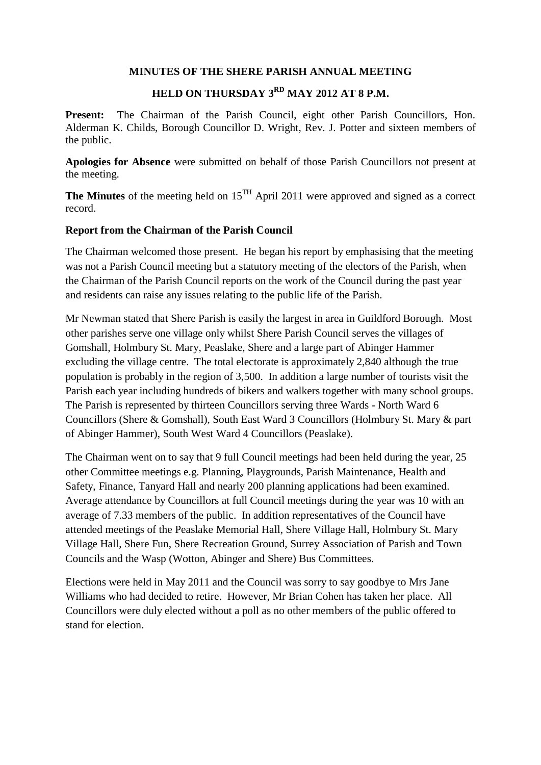### **MINUTES OF THE SHERE PARISH ANNUAL MEETING**

# **HELD ON THURSDAY 3RD MAY 2012 AT 8 P.M.**

Present: The Chairman of the Parish Council, eight other Parish Councillors, Hon. Alderman K. Childs, Borough Councillor D. Wright, Rev. J. Potter and sixteen members of the public.

**Apologies for Absence** were submitted on behalf of those Parish Councillors not present at the meeting.

The Minutes of the meeting held on 15<sup>TH</sup> April 2011 were approved and signed as a correct record.

### **Report from the Chairman of the Parish Council**

The Chairman welcomed those present. He began his report by emphasising that the meeting was not a Parish Council meeting but a statutory meeting of the electors of the Parish, when the Chairman of the Parish Council reports on the work of the Council during the past year and residents can raise any issues relating to the public life of the Parish.

Mr Newman stated that Shere Parish is easily the largest in area in Guildford Borough. Most other parishes serve one village only whilst Shere Parish Council serves the villages of Gomshall, Holmbury St. Mary, Peaslake, Shere and a large part of Abinger Hammer excluding the village centre. The total electorate is approximately 2,840 although the true population is probably in the region of 3,500. In addition a large number of tourists visit the Parish each year including hundreds of bikers and walkers together with many school groups. The Parish is represented by thirteen Councillors serving three Wards - North Ward 6 Councillors (Shere & Gomshall), South East Ward 3 Councillors (Holmbury St. Mary & part of Abinger Hammer), South West Ward 4 Councillors (Peaslake).

The Chairman went on to say that 9 full Council meetings had been held during the year, 25 other Committee meetings e.g. Planning, Playgrounds, Parish Maintenance, Health and Safety, Finance, Tanyard Hall and nearly 200 planning applications had been examined. Average attendance by Councillors at full Council meetings during the year was 10 with an average of 7.33 members of the public. In addition representatives of the Council have attended meetings of the Peaslake Memorial Hall, Shere Village Hall, Holmbury St. Mary Village Hall, Shere Fun, Shere Recreation Ground, Surrey Association of Parish and Town Councils and the Wasp (Wotton, Abinger and Shere) Bus Committees.

Elections were held in May 2011 and the Council was sorry to say goodbye to Mrs Jane Williams who had decided to retire. However, Mr Brian Cohen has taken her place. All Councillors were duly elected without a poll as no other members of the public offered to stand for election.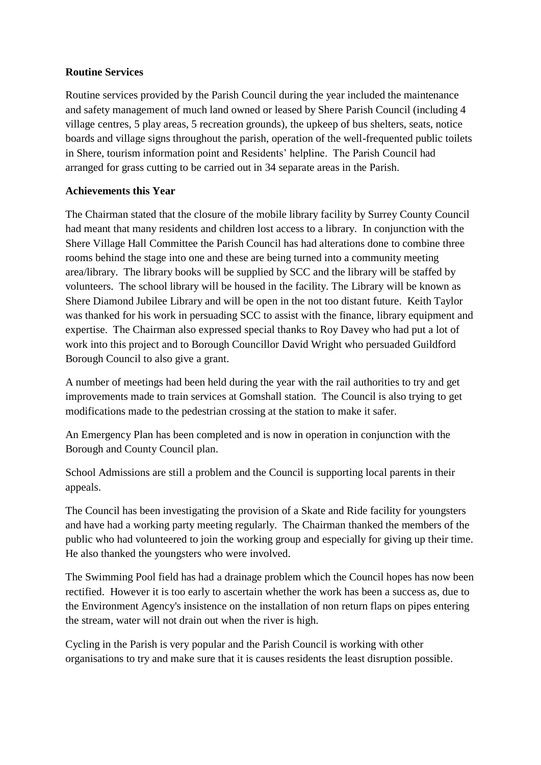## **Routine Services**

Routine services provided by the Parish Council during the year included the maintenance and safety management of much land owned or leased by Shere Parish Council (including 4 village centres, 5 play areas, 5 recreation grounds), the upkeep of bus shelters, seats, notice boards and village signs throughout the parish, operation of the well-frequented public toilets in Shere, tourism information point and Residents' helpline. The Parish Council had arranged for grass cutting to be carried out in 34 separate areas in the Parish.

# **Achievements this Year**

The Chairman stated that the closure of the mobile library facility by Surrey County Council had meant that many residents and children lost access to a library. In conjunction with the Shere Village Hall Committee the Parish Council has had alterations done to combine three rooms behind the stage into one and these are being turned into a community meeting area/library. The library books will be supplied by SCC and the library will be staffed by volunteers. The school library will be housed in the facility. The Library will be known as Shere Diamond Jubilee Library and will be open in the not too distant future. Keith Taylor was thanked for his work in persuading SCC to assist with the finance, library equipment and expertise. The Chairman also expressed special thanks to Roy Davey who had put a lot of work into this project and to Borough Councillor David Wright who persuaded Guildford Borough Council to also give a grant.

A number of meetings had been held during the year with the rail authorities to try and get improvements made to train services at Gomshall station. The Council is also trying to get modifications made to the pedestrian crossing at the station to make it safer.

An Emergency Plan has been completed and is now in operation in conjunction with the Borough and County Council plan.

School Admissions are still a problem and the Council is supporting local parents in their appeals.

The Council has been investigating the provision of a Skate and Ride facility for youngsters and have had a working party meeting regularly. The Chairman thanked the members of the public who had volunteered to join the working group and especially for giving up their time. He also thanked the youngsters who were involved.

The Swimming Pool field has had a drainage problem which the Council hopes has now been rectified. However it is too early to ascertain whether the work has been a success as, due to the Environment Agency's insistence on the installation of non return flaps on pipes entering the stream, water will not drain out when the river is high.

Cycling in the Parish is very popular and the Parish Council is working with other organisations to try and make sure that it is causes residents the least disruption possible.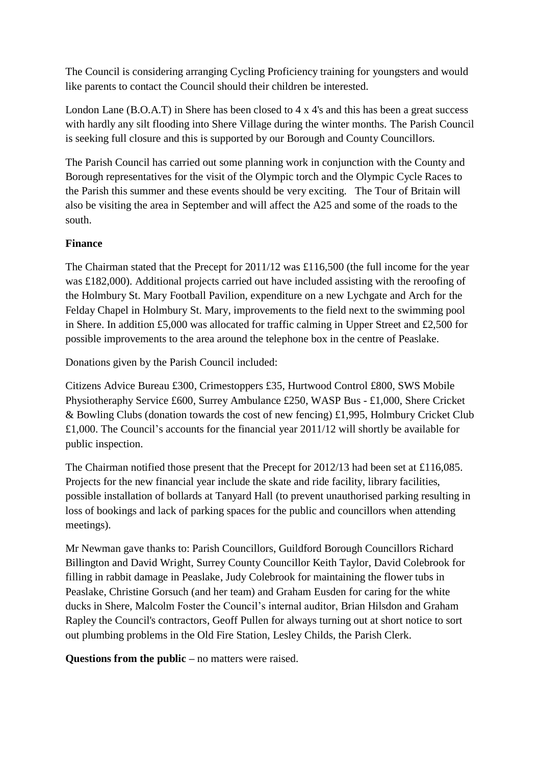The Council is considering arranging Cycling Proficiency training for youngsters and would like parents to contact the Council should their children be interested.

London Lane (B.O.A.T) in Shere has been closed to 4 x 4's and this has been a great success with hardly any silt flooding into Shere Village during the winter months. The Parish Council is seeking full closure and this is supported by our Borough and County Councillors.

The Parish Council has carried out some planning work in conjunction with the County and Borough representatives for the visit of the Olympic torch and the Olympic Cycle Races to the Parish this summer and these events should be very exciting. The Tour of Britain will also be visiting the area in September and will affect the A25 and some of the roads to the south.

## **Finance**

The Chairman stated that the Precept for 2011/12 was £116,500 (the full income for the year was £182,000). Additional projects carried out have included assisting with the reroofing of the Holmbury St. Mary Football Pavilion, expenditure on a new Lychgate and Arch for the Felday Chapel in Holmbury St. Mary, improvements to the field next to the swimming pool in Shere. In addition £5,000 was allocated for traffic calming in Upper Street and £2,500 for possible improvements to the area around the telephone box in the centre of Peaslake.

Donations given by the Parish Council included:

Citizens Advice Bureau £300, Crimestoppers £35, Hurtwood Control £800, SWS Mobile Physiotheraphy Service £600, Surrey Ambulance £250, WASP Bus - £1,000, Shere Cricket & Bowling Clubs (donation towards the cost of new fencing) £1,995, Holmbury Cricket Club £1,000. The Council's accounts for the financial year 2011/12 will shortly be available for public inspection.

The Chairman notified those present that the Precept for 2012/13 had been set at £116,085. Projects for the new financial year include the skate and ride facility, library facilities, possible installation of bollards at Tanyard Hall (to prevent unauthorised parking resulting in loss of bookings and lack of parking spaces for the public and councillors when attending meetings).

Mr Newman gave thanks to: Parish Councillors, Guildford Borough Councillors Richard Billington and David Wright, Surrey County Councillor Keith Taylor, David Colebrook for filling in rabbit damage in Peaslake, Judy Colebrook for maintaining the flower tubs in Peaslake, Christine Gorsuch (and her team) and Graham Eusden for caring for the white ducks in Shere, Malcolm Foster the Council's internal auditor, Brian Hilsdon and Graham Rapley the Council's contractors, Geoff Pullen for always turning out at short notice to sort out plumbing problems in the Old Fire Station, Lesley Childs, the Parish Clerk.

**Questions from the public –** no matters were raised.